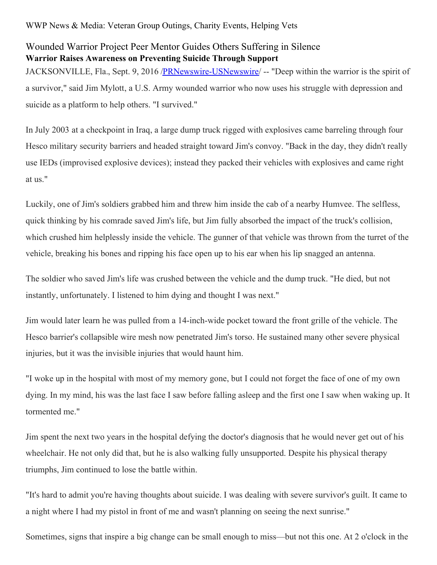## Wounded Warrior Project Peer Mentor Guides Others Suffering in Silence **Warrior Raises Awareness on Preventing Suicide Through Support**

JACKSONVILLE, Fla., Sept. 9, 2016 [/PRNewswire-USNewswire](http://www.prnewswire.com/)/ -- "Deep within the warrior is the spirit of a survivor," said Jim Mylott, a U.S. Army wounded warrior who now uses his struggle with depression and suicide as a platform to help others. "I survived."

In July 2003 at a checkpoint in Iraq, a large dump truck rigged with explosives came barreling through four Hesco military security barriers and headed straight toward Jim's convoy. "Back in the day, they didn't really use IEDs (improvised explosive devices); instead they packed their vehicles with explosives and came right at us."

Luckily, one of Jim's soldiers grabbed him and threw him inside the cab of a nearby Humvee. The selfless, quick thinking by his comrade saved Jim's life, but Jim fully absorbed the impact of the truck's collision, which crushed him helplessly inside the vehicle. The gunner of that vehicle was thrown from the turret of the vehicle, breaking his bones and ripping his face open up to his ear when his lip snagged an antenna.

The soldier who saved Jim's life was crushed between the vehicle and the dump truck. "He died, but not instantly, unfortunately. I listened to him dying and thought I was next."

Jim would later learn he was pulled from a 14-inch-wide pocket toward the front grille of the vehicle. The Hesco barrier's collapsible wire mesh now penetrated Jim's torso. He sustained many other severe physical injuries, but it was the invisible injuries that would haunt him.

"I woke up in the hospital with most of my memory gone, but I could not forget the face of one of my own dying. In my mind, his was the last face I saw before falling asleep and the first one I saw when waking up. It tormented me."

Jim spent the next two years in the hospital defying the doctor's diagnosis that he would never get out of his wheelchair. He not only did that, but he is also walking fully unsupported. Despite his physical therapy triumphs, Jim continued to lose the battle within.

"It's hard to admit you're having thoughts about suicide. I was dealing with severe survivor's guilt. It came to a night where I had my pistol in front of me and wasn't planning on seeing the next sunrise."

Sometimes, signs that inspire a big change can be small enough to miss—but not this one. At 2 o'clock in the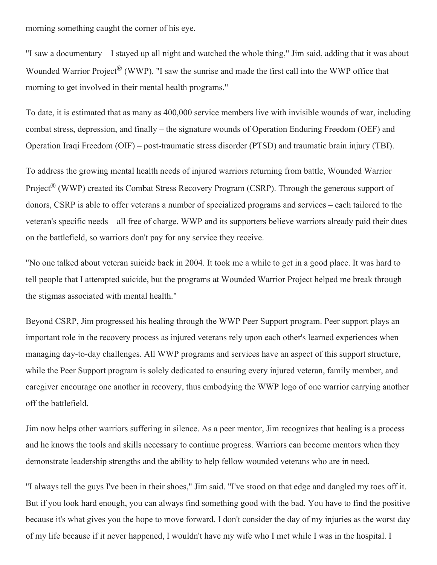morning something caught the corner of his eye.

"I saw a documentary – I stayed up all night and watched the whole thing," Jim said, adding that it was about Wounded Warrior Project**®** (WWP). "I saw the sunrise and made the first call into the WWP office that morning to get involved in their mental health programs."

To date, it is estimated that as many as 400,000 service members live with invisible wounds of war, including combat stress, depression, and finally – the signature wounds of Operation Enduring Freedom (OEF) and Operation Iraqi Freedom (OIF) – post-traumatic stress disorder (PTSD) and traumatic brain injury (TBI).

To address the growing mental health needs of injured warriors returning from battle, Wounded Warrior Project® (WWP) created its Combat Stress Recovery Program (CSRP). Through the generous support of donors, CSRP is able to offer veterans a number of specialized programs and services – each tailored to the veteran's specific needs – all free of charge. WWP and its supporters believe warriors already paid their dues on the battlefield, so warriors don't pay for any service they receive.

"No one talked about veteran suicide back in 2004. It took me a while to get in a good place. It was hard to tell people that I attempted suicide, but the programs at Wounded Warrior Project helped me break through the stigmas associated with mental health."

Beyond CSRP, Jim progressed his healing through the WWP Peer Support program. Peer support plays an important role in the recovery process as injured veterans rely upon each other's learned experiences when managing day-to-day challenges. All WWP programs and services have an aspect of this support structure, while the Peer Support program is solely dedicated to ensuring every injured veteran, family member, and caregiver encourage one another in recovery, thus embodying the WWP logo of one warrior carrying another off the battlefield.

Jim now helps other warriors suffering in silence. As a peer mentor, Jim recognizes that healing is a process and he knows the tools and skills necessary to continue progress. Warriors can become mentors when they demonstrate leadership strengths and the ability to help fellow wounded veterans who are in need.

"I always tell the guys I've been in their shoes," Jim said. "I've stood on that edge and dangled my toes off it. But if you look hard enough, you can always find something good with the bad. You have to find the positive because it's what gives you the hope to move forward. I don't consider the day of my injuries as the worst day of my life because if it never happened, I wouldn't have my wife who I met while I was in the hospital. I